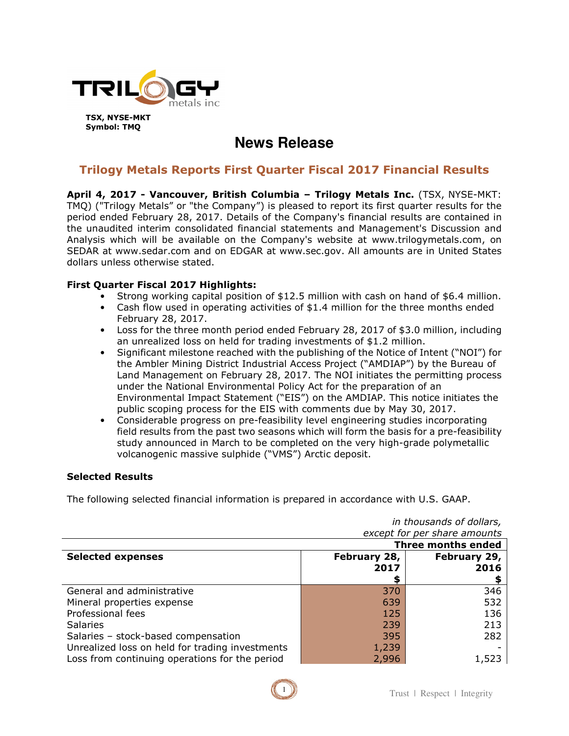

**TSX, NYSE-MKT Symbol: TMQ** 

# **News Release**

# **Trilogy Metals Reports First Quarter Fiscal 2017 Financial Results**

**April 4, 2017 - Vancouver, British Columbia – Trilogy Metals Inc.** (TSX, NYSE-MKT: TMQ) ("Trilogy Metals" or "the Company") is pleased to report its first quarter results for the period ended February 28, 2017. Details of the Company's financial results are contained in the unaudited interim consolidated financial statements and Management's Discussion and Analysis which will be available on the Company's website at www.trilogymetals.com, on SEDAR at www.sedar.com and on EDGAR at www.sec.gov. All amounts are in United States dollars unless otherwise stated.

## **First Quarter Fiscal 2017 Highlights:**

- Strong working capital position of \$12.5 million with cash on hand of \$6.4 million.
- Cash flow used in operating activities of \$1.4 million for the three months ended February 28, 2017.
- Loss for the three month period ended February 28, 2017 of \$3.0 million, including an unrealized loss on held for trading investments of \$1.2 million.
- Significant milestone reached with the publishing of the Notice of Intent ("NOI") for the Ambler Mining District Industrial Access Project ("AMDIAP") by the Bureau of Land Management on February 28, 2017. The NOI initiates the permitting process under the National Environmental Policy Act for the preparation of an Environmental Impact Statement ("EIS") on the AMDIAP. This notice initiates the public scoping process for the EIS with comments due by May 30, 2017.
- Considerable progress on pre-feasibility level engineering studies incorporating field results from the past two seasons which will form the basis for a pre-feasibility study announced in March to be completed on the very high-grade polymetallic volcanogenic massive sulphide ("VMS") Arctic deposit.

#### **Selected Results**

The following selected financial information is prepared in accordance with U.S. GAAP.

| ,,,  .,,  .,  ., ., .,  .,  .,  ., .,           |              |              |  |
|-------------------------------------------------|--------------|--------------|--|
| except for per share amounts                    |              |              |  |
| <b>Three months ended</b>                       |              |              |  |
| <b>Selected expenses</b>                        | February 28, | February 29, |  |
|                                                 | 2017         | 2016         |  |
|                                                 | S            |              |  |
| General and administrative                      | 370          | 346          |  |
| Mineral properties expense                      | 639          | 532          |  |
| Professional fees                               | 125          | 136          |  |
| <b>Salaries</b>                                 | 239          | 213          |  |
| Salaries - stock-based compensation             | 395          | 282          |  |
| Unrealized loss on held for trading investments | 1,239        |              |  |
| Loss from continuing operations for the period  | 2,996        | 1,523        |  |

*in thousands of dollars,* 

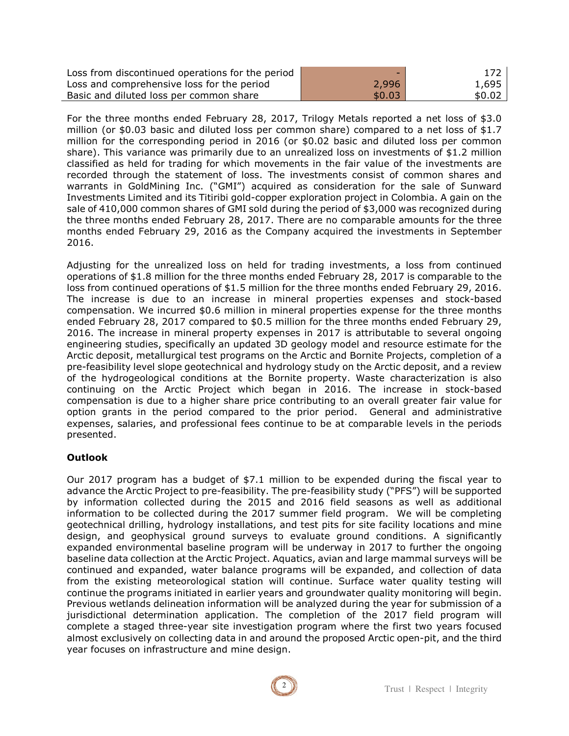| Loss from discontinued operations for the period | -      | 172 <sub>1</sub> |
|--------------------------------------------------|--------|------------------|
| Loss and comprehensive loss for the period       | 2,996  | 1,695            |
| Basic and diluted loss per common share          | \$0.03 | \$0.02           |

For the three months ended February 28, 2017, Trilogy Metals reported a net loss of \$3.0 million (or \$0.03 basic and diluted loss per common share) compared to a net loss of \$1.7 million for the corresponding period in 2016 (or \$0.02 basic and diluted loss per common share). This variance was primarily due to an unrealized loss on investments of \$1.2 million classified as held for trading for which movements in the fair value of the investments are recorded through the statement of loss. The investments consist of common shares and warrants in GoldMining Inc. ("GMI") acquired as consideration for the sale of Sunward Investments Limited and its Titiribi gold-copper exploration project in Colombia. A gain on the sale of 410,000 common shares of GMI sold during the period of \$3,000 was recognized during the three months ended February 28, 2017. There are no comparable amounts for the three months ended February 29, 2016 as the Company acquired the investments in September 2016.

Adjusting for the unrealized loss on held for trading investments, a loss from continued operations of \$1.8 million for the three months ended February 28, 2017 is comparable to the loss from continued operations of \$1.5 million for the three months ended February 29, 2016. The increase is due to an increase in mineral properties expenses and stock-based compensation. We incurred \$0.6 million in mineral properties expense for the three months ended February 28, 2017 compared to \$0.5 million for the three months ended February 29, 2016. The increase in mineral property expenses in 2017 is attributable to several ongoing engineering studies, specifically an updated 3D geology model and resource estimate for the Arctic deposit, metallurgical test programs on the Arctic and Bornite Projects, completion of a pre-feasibility level slope geotechnical and hydrology study on the Arctic deposit, and a review of the hydrogeological conditions at the Bornite property. Waste characterization is also continuing on the Arctic Project which began in 2016. The increase in stock-based compensation is due to a higher share price contributing to an overall greater fair value for option grants in the period compared to the prior period. General and administrative expenses, salaries, and professional fees continue to be at comparable levels in the periods presented.

#### **Outlook**

Our 2017 program has a budget of \$7.1 million to be expended during the fiscal year to advance the Arctic Project to pre-feasibility. The pre-feasibility study ("PFS") will be supported by information collected during the 2015 and 2016 field seasons as well as additional information to be collected during the 2017 summer field program. We will be completing geotechnical drilling, hydrology installations, and test pits for site facility locations and mine design, and geophysical ground surveys to evaluate ground conditions. A significantly expanded environmental baseline program will be underway in 2017 to further the ongoing baseline data collection at the Arctic Project. Aquatics, avian and large mammal surveys will be continued and expanded, water balance programs will be expanded, and collection of data from the existing meteorological station will continue. Surface water quality testing will continue the programs initiated in earlier years and groundwater quality monitoring will begin. Previous wetlands delineation information will be analyzed during the year for submission of a jurisdictional determination application. The completion of the 2017 field program will complete a staged three-year site investigation program where the first two years focused almost exclusively on collecting data in and around the proposed Arctic open-pit, and the third year focuses on infrastructure and mine design.